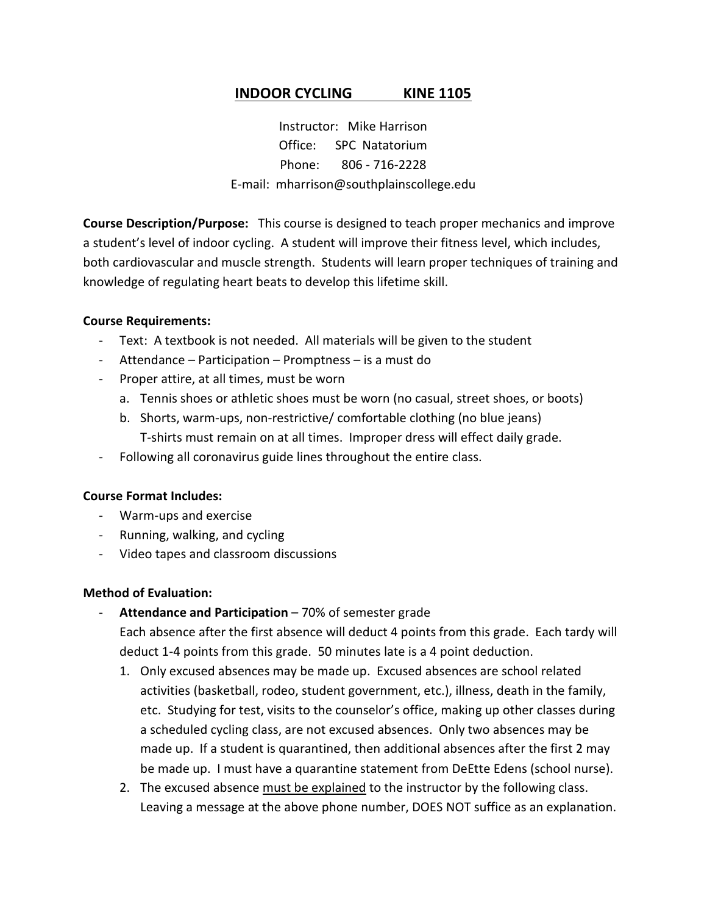## **INDOOR CYCLING KINE 1105**

Instructor: Mike Harrison Office: SPC Natatorium Phone: 806 - 716-2228 E-mail: mharrison@southplainscollege.edu

**Course Description/Purpose:** This course is designed to teach proper mechanics and improve a student's level of indoor cycling. A student will improve their fitness level, which includes, both cardiovascular and muscle strength. Students will learn proper techniques of training and knowledge of regulating heart beats to develop this lifetime skill.

#### **Course Requirements:**

- Text: A textbook is not needed. All materials will be given to the student
- Attendance Participation Promptness is a must do
- Proper attire, at all times, must be worn
	- a. Tennis shoes or athletic shoes must be worn (no casual, street shoes, or boots)
	- b. Shorts, warm-ups, non-restrictive/ comfortable clothing (no blue jeans) T-shirts must remain on at all times. Improper dress will effect daily grade.
- Following all coronavirus guide lines throughout the entire class.

### **Course Format Includes:**

- Warm-ups and exercise
- Running, walking, and cycling
- Video tapes and classroom discussions

### **Method of Evaluation:**

Attendance and Participation – 70% of semester grade

Each absence after the first absence will deduct 4 points from this grade. Each tardy will deduct 1-4 points from this grade. 50 minutes late is a 4 point deduction.

- 1. Only excused absences may be made up. Excused absences are school related activities (basketball, rodeo, student government, etc.), illness, death in the family, etc. Studying for test, visits to the counselor's office, making up other classes during a scheduled cycling class, are not excused absences. Only two absences may be made up. If a student is quarantined, then additional absences after the first 2 may be made up. I must have a quarantine statement from DeEtte Edens (school nurse).
- 2. The excused absence must be explained to the instructor by the following class. Leaving a message at the above phone number, DOES NOT suffice as an explanation.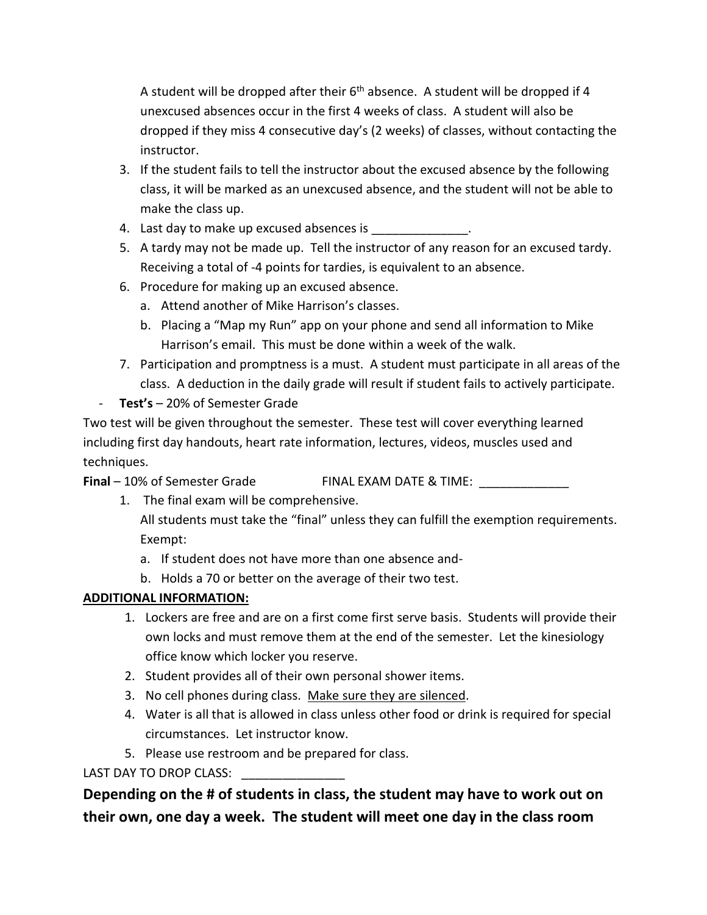A student will be dropped after their  $6<sup>th</sup>$  absence. A student will be dropped if 4 unexcused absences occur in the first 4 weeks of class. A student will also be dropped if they miss 4 consecutive day's (2 weeks) of classes, without contacting the instructor.

- 3. If the student fails to tell the instructor about the excused absence by the following class, it will be marked as an unexcused absence, and the student will not be able to make the class up.
- 4. Last day to make up excused absences is \_\_\_\_\_\_\_\_\_\_\_\_\_\_.
- 5. A tardy may not be made up. Tell the instructor of any reason for an excused tardy. Receiving a total of -4 points for tardies, is equivalent to an absence.
- 6. Procedure for making up an excused absence.
	- a. Attend another of Mike Harrison's classes.
	- b. Placing a "Map my Run" app on your phone and send all information to Mike Harrison's email. This must be done within a week of the walk.
- 7. Participation and promptness is a must. A student must participate in all areas of the class. A deduction in the daily grade will result if student fails to actively participate.
- **Test's** 20% of Semester Grade

Two test will be given throughout the semester. These test will cover everything learned including first day handouts, heart rate information, lectures, videos, muscles used and techniques.

**Final** – 10% of Semester Grade FINAL EXAM DATE & TIME:

1. The final exam will be comprehensive.

All students must take the "final" unless they can fulfill the exemption requirements. Exempt:

- a. If student does not have more than one absence and-
- b. Holds a 70 or better on the average of their two test.

# **ADDITIONAL INFORMATION:**

- 1. Lockers are free and are on a first come first serve basis. Students will provide their own locks and must remove them at the end of the semester. Let the kinesiology office know which locker you reserve.
- 2. Student provides all of their own personal shower items.
- 3. No cell phones during class. Make sure they are silenced.
- 4. Water is all that is allowed in class unless other food or drink is required for special circumstances. Let instructor know.
- 5. Please use restroom and be prepared for class.

LAST DAY TO DROP CLASS:

**Depending on the # of students in class, the student may have to work out on their own, one day a week. The student will meet one day in the class room**